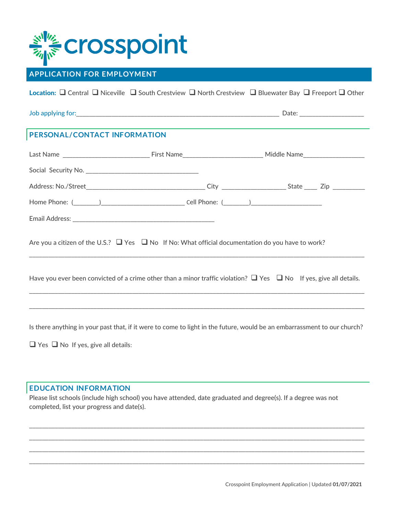# crosspoint

## **APPLICATION FOR EMPLOYMENT**

Location: Q Central Q Niceville Q South Crestview Q North Crestview Q Bluewater Bay Q Freeport Q Other

Job applying for:\_\_\_\_\_\_\_\_\_\_\_\_\_\_\_\_\_\_\_\_\_\_\_\_\_\_\_\_\_\_\_\_\_\_\_\_\_\_\_\_\_\_\_\_\_\_\_\_\_\_\_\_\_\_\_\_\_\_\_\_\_\_\_ Date: \_\_\_\_\_\_\_\_\_\_\_\_\_\_\_\_\_\_\_\_

### **PERSONAL/CONTACT INFORMATION**

| Are you a citizen of the U.S.? $\Box$ Yes $\Box$ No If No: What official documentation do you have to work?                  |  |  |  |  |  |  |  |
|------------------------------------------------------------------------------------------------------------------------------|--|--|--|--|--|--|--|
| Have you ever been convicted of a crime other than a minor traffic violation? $\Box$ Yes $\Box$ No If yes, give all details. |  |  |  |  |  |  |  |
|                                                                                                                              |  |  |  |  |  |  |  |
|                                                                                                                              |  |  |  |  |  |  |  |

Is there anything in your past that, if it were to come to light in the future, would be an embarrassment to our church?

 $\Box$  Yes  $\Box$  No If yes, give all details:

#### **EDUCATION INFORMATION**

Please list schools (include high school) you have attended, date graduated and degree(s). If a degree was not completed, list your progress and date(s).

\_\_\_\_\_\_\_\_\_\_\_\_\_\_\_\_\_\_\_\_\_\_\_\_\_\_\_\_\_\_\_\_\_\_\_\_\_\_\_\_\_\_\_\_\_\_\_\_\_\_\_\_\_\_\_\_\_\_\_\_\_\_\_\_\_\_\_\_\_\_\_\_\_\_\_\_\_\_\_\_\_\_\_\_\_\_\_\_\_\_\_\_\_\_\_\_\_\_\_\_\_\_\_\_ \_\_\_\_\_\_\_\_\_\_\_\_\_\_\_\_\_\_\_\_\_\_\_\_\_\_\_\_\_\_\_\_\_\_\_\_\_\_\_\_\_\_\_\_\_\_\_\_\_\_\_\_\_\_\_\_\_\_\_\_\_\_\_\_\_\_\_\_\_\_\_\_\_\_\_\_\_\_\_\_\_\_\_\_\_\_\_\_\_\_\_\_\_\_\_\_\_\_\_\_\_\_\_\_ \_\_\_\_\_\_\_\_\_\_\_\_\_\_\_\_\_\_\_\_\_\_\_\_\_\_\_\_\_\_\_\_\_\_\_\_\_\_\_\_\_\_\_\_\_\_\_\_\_\_\_\_\_\_\_\_\_\_\_\_\_\_\_\_\_\_\_\_\_\_\_\_\_\_\_\_\_\_\_\_\_\_\_\_\_\_\_\_\_\_\_\_\_\_\_\_\_\_\_\_\_\_\_\_ \_\_\_\_\_\_\_\_\_\_\_\_\_\_\_\_\_\_\_\_\_\_\_\_\_\_\_\_\_\_\_\_\_\_\_\_\_\_\_\_\_\_\_\_\_\_\_\_\_\_\_\_\_\_\_\_\_\_\_\_\_\_\_\_\_\_\_\_\_\_\_\_\_\_\_\_\_\_\_\_\_\_\_\_\_\_\_\_\_\_\_\_\_\_\_\_\_\_\_\_\_\_\_\_